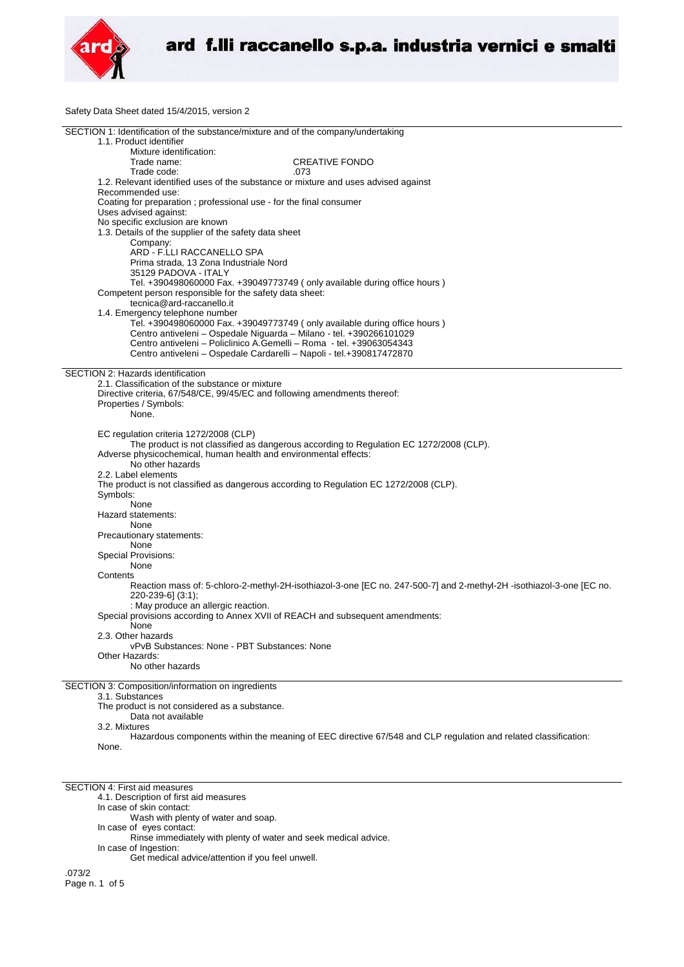

Safety Data Sheet dated 15/4/2015, version 2

| SECTION 1: Identification of the substance/mixture and of the company/undertaking                                    |  |
|----------------------------------------------------------------------------------------------------------------------|--|
| 1.1. Product identifier                                                                                              |  |
| Mixture identification:                                                                                              |  |
| <b>CREATIVE FONDO</b><br>Trade name:                                                                                 |  |
| Trade code:<br>.073                                                                                                  |  |
| 1.2. Relevant identified uses of the substance or mixture and uses advised against                                   |  |
|                                                                                                                      |  |
| Recommended use:                                                                                                     |  |
| Coating for preparation; professional use - for the final consumer                                                   |  |
| Uses advised against:                                                                                                |  |
| No specific exclusion are known                                                                                      |  |
| 1.3. Details of the supplier of the safety data sheet                                                                |  |
| Company:                                                                                                             |  |
| ARD - F.LLI RACCANELLO SPA                                                                                           |  |
| Prima strada, 13 Zona Industriale Nord                                                                               |  |
| 35129 PADOVA - ITALY                                                                                                 |  |
|                                                                                                                      |  |
| Tel. +390498060000 Fax. +39049773749 (only available during office hours)                                            |  |
| Competent person responsible for the safety data sheet:                                                              |  |
| tecnica@ard-raccanello.it                                                                                            |  |
| 1.4. Emergency telephone number                                                                                      |  |
| Tel. +390498060000 Fax. +39049773749 (only available during office hours)                                            |  |
| Centro antiveleni - Ospedale Niguarda - Milano - tel. +390266101029                                                  |  |
| Centro antiveleni – Policlinico A.Gemelli – Roma - tel. +39063054343                                                 |  |
| Centro antiveleni - Ospedale Cardarelli - Napoli - tel.+390817472870                                                 |  |
|                                                                                                                      |  |
| SECTION 2: Hazards identification                                                                                    |  |
| 2.1. Classification of the substance or mixture                                                                      |  |
|                                                                                                                      |  |
| Directive criteria, 67/548/CE, 99/45/EC and following amendments thereof:                                            |  |
| Properties / Symbols:                                                                                                |  |
| None.                                                                                                                |  |
|                                                                                                                      |  |
| EC regulation criteria 1272/2008 (CLP)                                                                               |  |
| The product is not classified as dangerous according to Regulation EC 1272/2008 (CLP).                               |  |
| Adverse physicochemical, human health and environmental effects:                                                     |  |
| No other hazards                                                                                                     |  |
|                                                                                                                      |  |
| 2.2. Label elements                                                                                                  |  |
| The product is not classified as dangerous according to Regulation EC 1272/2008 (CLP).                               |  |
| Symbols:                                                                                                             |  |
| None                                                                                                                 |  |
| Hazard statements:                                                                                                   |  |
| None                                                                                                                 |  |
| Precautionary statements:                                                                                            |  |
| None                                                                                                                 |  |
| <b>Special Provisions:</b>                                                                                           |  |
|                                                                                                                      |  |
| None                                                                                                                 |  |
| Contents                                                                                                             |  |
| Reaction mass of: 5-chloro-2-methyl-2H-isothiazol-3-one [EC no. 247-500-7] and 2-methyl-2H -isothiazol-3-one [EC no. |  |
| 220-239-6] (3:1);                                                                                                    |  |
| : May produce an allergic reaction.                                                                                  |  |
| Special provisions according to Annex XVII of REACH and subsequent amendments:                                       |  |
| None                                                                                                                 |  |
| 2.3. Other hazards                                                                                                   |  |
| vPvB Substances: None - PBT Substances: None                                                                         |  |
| Other Hazards:                                                                                                       |  |
|                                                                                                                      |  |
| No other hazards                                                                                                     |  |
|                                                                                                                      |  |
| SECTION 3: Composition/information on ingredients                                                                    |  |
| 3.1. Substances                                                                                                      |  |
| The product is not considered as a substance.                                                                        |  |
| Data not available                                                                                                   |  |
| 3.2. Mixtures                                                                                                        |  |
| Hazardous components within the meaning of EEC directive 67/548 and CLP regulation and related classification:       |  |
| None.                                                                                                                |  |

SECTION 4: First aid measures

4.1. Description of first aid measures

In case of skin contact:

Wash with plenty of water and soap.

In case of eyes contact:

Rinse immediately with plenty of water and seek medical advice. In case of Ingestion:

Get medical advice/attention if you feel unwell.

.073/2 Page n. 1 of 5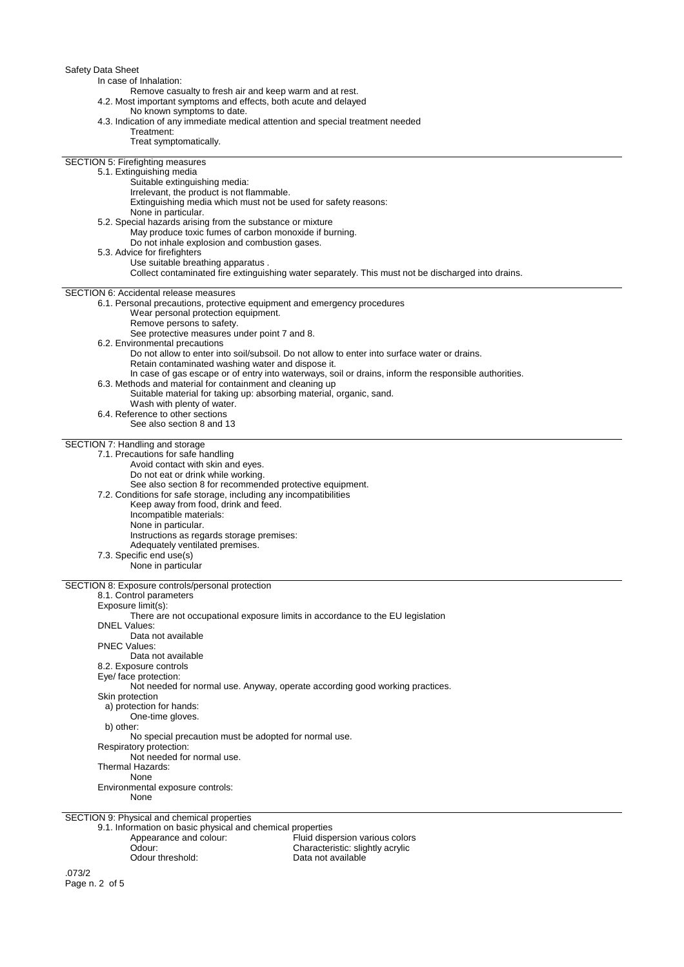| Safety Data Sheet<br>In case of Inhalation:<br>Remove casualty to fresh air and keep warm and at rest.<br>4.2. Most important symptoms and effects, both acute and delayed                                                                                                        |  |
|-----------------------------------------------------------------------------------------------------------------------------------------------------------------------------------------------------------------------------------------------------------------------------------|--|
| No known symptoms to date.<br>4.3. Indication of any immediate medical attention and special treatment needed<br>Treatment:<br>Treat symptomatically.                                                                                                                             |  |
| <b>SECTION 5: Firefighting measures</b><br>5.1. Extinguishing media<br>Suitable extinguishing media:                                                                                                                                                                              |  |
| Irrelevant, the product is not flammable.<br>Extinguishing media which must not be used for safety reasons:<br>None in particular.                                                                                                                                                |  |
| 5.2. Special hazards arising from the substance or mixture<br>May produce toxic fumes of carbon monoxide if burning.<br>Do not inhale explosion and combustion gases.                                                                                                             |  |
| 5.3. Advice for firefighters<br>Use suitable breathing apparatus.<br>Collect contaminated fire extinguishing water separately. This must not be discharged into drains.                                                                                                           |  |
| <b>SECTION 6: Accidental release measures</b><br>6.1. Personal precautions, protective equipment and emergency procedures<br>Wear personal protection equipment.                                                                                                                  |  |
| Remove persons to safety.<br>See protective measures under point 7 and 8.<br>6.2. Environmental precautions                                                                                                                                                                       |  |
| Do not allow to enter into soil/subsoil. Do not allow to enter into surface water or drains.<br>Retain contaminated washing water and dispose it.<br>In case of gas escape or of entry into waterways, soil or drains, inform the responsible authorities.                        |  |
| 6.3. Methods and material for containment and cleaning up<br>Suitable material for taking up: absorbing material, organic, sand.<br>Wash with plenty of water.                                                                                                                    |  |
| 6.4. Reference to other sections<br>See also section 8 and 13                                                                                                                                                                                                                     |  |
| SECTION 7: Handling and storage<br>7.1. Precautions for safe handling<br>Avoid contact with skin and eyes.<br>Do not eat or drink while working.<br>See also section 8 for recommended protective equipment.<br>7.2. Conditions for safe storage, including any incompatibilities |  |
| Keep away from food, drink and feed.<br>Incompatible materials:<br>None in particular.<br>Instructions as regards storage premises:<br>Adequately ventilated premises.<br>7.3. Specific end use(s)                                                                                |  |
| None in particular                                                                                                                                                                                                                                                                |  |
| SECTION 8: Exposure controls/personal protection<br>8.1. Control parameters<br>Exposure limit(s):<br>There are not occupational exposure limits in accordance to the EU legislation                                                                                               |  |
| <b>DNEL Values:</b><br>Data not available<br><b>PNEC Values:</b>                                                                                                                                                                                                                  |  |
| Data not available<br>8.2. Exposure controls<br>Eye/ face protection:                                                                                                                                                                                                             |  |
| Not needed for normal use. Anyway, operate according good working practices.<br>Skin protection<br>a) protection for hands:<br>One-time gloves.                                                                                                                                   |  |
| b) other:<br>No special precaution must be adopted for normal use.<br>Respiratory protection:                                                                                                                                                                                     |  |
| Not needed for normal use.<br>Thermal Hazards:<br>None                                                                                                                                                                                                                            |  |
| Environmental exposure controls:<br>None                                                                                                                                                                                                                                          |  |
| SECTION 9: Physical and chemical properties<br>9.1. Information on basic physical and chemical properties<br>Appearance and colour:<br>Fluid dispersion various colors<br>Odour:<br>Characteristic: slightly acrylic<br>Odour threshold:<br>Data not available                    |  |
| 070/2                                                                                                                                                                                                                                                                             |  |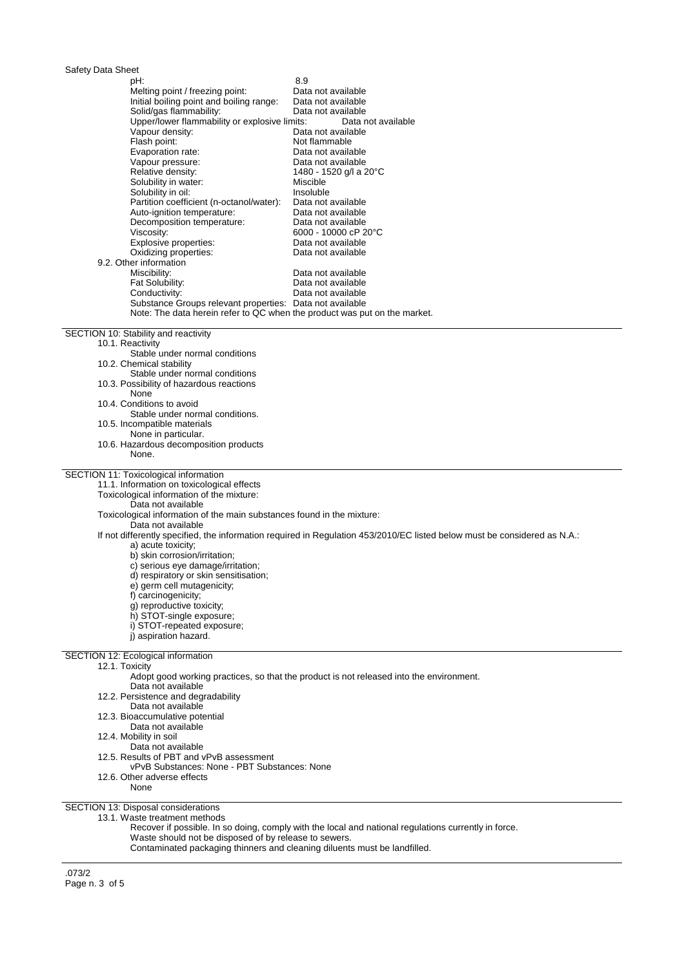| Safety Data Sheet                                                                       |                                                                                                                           |
|-----------------------------------------------------------------------------------------|---------------------------------------------------------------------------------------------------------------------------|
| pH:                                                                                     | 8.9                                                                                                                       |
| Melting point / freezing point:<br>Initial boiling point and boiling range:             | Data not available<br>Data not available                                                                                  |
| Solid/gas flammability:                                                                 | Data not available                                                                                                        |
| Upper/lower flammability or explosive limits:                                           | Data not available                                                                                                        |
| Vapour density:<br>Flash point:                                                         | Data not available<br>Not flammable                                                                                       |
| Evaporation rate:                                                                       | Data not available                                                                                                        |
| Vapour pressure:                                                                        | Data not available                                                                                                        |
| Relative density:<br>Solubility in water:                                               | 1480 - 1520 g/l a 20°C<br>Miscible                                                                                        |
| Solubility in oil:                                                                      | Insoluble                                                                                                                 |
| Partition coefficient (n-octanol/water):<br>Auto-ignition temperature:                  | Data not available<br>Data not available                                                                                  |
| Decomposition temperature:                                                              | Data not available                                                                                                        |
| Viscosity:                                                                              | 6000 - 10000 cP 20°C                                                                                                      |
| Explosive properties:<br>Oxidizing properties:                                          | Data not available<br>Data not available                                                                                  |
| 9.2. Other information                                                                  |                                                                                                                           |
| Miscibility:                                                                            | Data not available                                                                                                        |
| Fat Solubility:<br>Conductivity:                                                        | Data not available<br>Data not available                                                                                  |
| Substance Groups relevant properties: Data not available                                |                                                                                                                           |
| Note: The data herein refer to QC when the product was put on the market.               |                                                                                                                           |
| SECTION 10: Stability and reactivity                                                    |                                                                                                                           |
| 10.1. Reactivity                                                                        |                                                                                                                           |
| Stable under normal conditions<br>10.2. Chemical stability                              |                                                                                                                           |
| Stable under normal conditions                                                          |                                                                                                                           |
| 10.3. Possibility of hazardous reactions<br>None                                        |                                                                                                                           |
| 10.4. Conditions to avoid                                                               |                                                                                                                           |
| Stable under normal conditions.                                                         |                                                                                                                           |
| 10.5. Incompatible materials<br>None in particular.                                     |                                                                                                                           |
| 10.6. Hazardous decomposition products                                                  |                                                                                                                           |
| None.                                                                                   |                                                                                                                           |
| SECTION 11: Toxicological information                                                   |                                                                                                                           |
| 11.1. Information on toxicological effects<br>Toxicological information of the mixture: |                                                                                                                           |
| Data not available                                                                      |                                                                                                                           |
| Toxicological information of the main substances found in the mixture:                  |                                                                                                                           |
| Data not available                                                                      | If not differently specified, the information required in Regulation 453/2010/EC listed below must be considered as N.A.: |
| a) acute toxicity;                                                                      |                                                                                                                           |
| b) skin corrosion/irritation;                                                           |                                                                                                                           |
| c) serious eye damage/irritation;<br>d) respiratory or skin sensitisation;              |                                                                                                                           |
| e) germ cell mutagenicity;                                                              |                                                                                                                           |
| f) carcinogenicity;                                                                     |                                                                                                                           |
| q) reproductive toxicity;<br>h) STOT-single exposure;                                   |                                                                                                                           |
| i) STOT-repeated exposure:                                                              |                                                                                                                           |
| i) aspiration hazard.                                                                   |                                                                                                                           |
| SECTION 12: Ecological information                                                      |                                                                                                                           |
| 12.1. Toxicity                                                                          | Adopt good working practices, so that the product is not released into the environment.                                   |
| Data not available                                                                      |                                                                                                                           |
| 12.2. Persistence and degradability                                                     |                                                                                                                           |
| Data not available<br>12.3. Bioaccumulative potential                                   |                                                                                                                           |
| Data not available                                                                      |                                                                                                                           |
| 12.4. Mobility in soil                                                                  |                                                                                                                           |
| Data not available<br>12.5. Results of PBT and vPvB assessment                          |                                                                                                                           |
| vPvB Substances: None - PBT Substances: None                                            |                                                                                                                           |
| 12.6. Other adverse effects                                                             |                                                                                                                           |
|                                                                                         |                                                                                                                           |
| None                                                                                    |                                                                                                                           |

13.1. Waste treatment methods

Recover if possible. In so doing, comply with the local and national regulations currently in force.

Waste should not be disposed of by release to sewers.

Contaminated packaging thinners and cleaning diluents must be landfilled.

.073/2 Page n. 3 of 5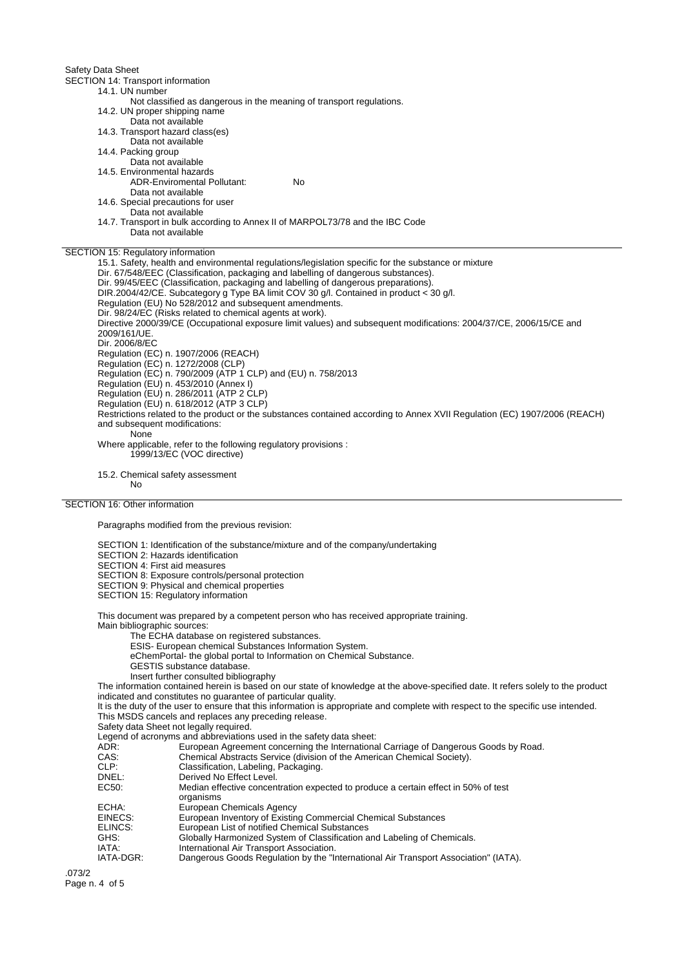Safety Data Sheet

SECTION 14: Transport information

- 14.1. UN number Not classified as dangerous in the meaning of transport regulations.
- 14.2. UN proper shipping name
- Data not available
- 14.3. Transport hazard class(es)
- Data not available
- 14.4. Packing group
	- Data not available
- 14.5. Environmental hazards ADR-Enviromental Pollutant: No
	-
- Data not available
- 14.6. Special precautions for user
- Data not available
- 14.7. Transport in bulk according to Annex II of MARPOL73/78 and the IBC Code Data not available

SECTION 15: Regulatory information

15.1. Safety, health and environmental regulations/legislation specific for the substance or mixture Dir. 67/548/EEC (Classification, packaging and labelling of dangerous substances). Dir. 99/45/EEC (Classification, packaging and labelling of dangerous preparations). DIR.2004/42/CE. Subcategory g Type BA limit COV 30 g/l. Contained in product < 30 g/l. Regulation (EU) No 528/2012 and subsequent amendments. Dir. 98/24/EC (Risks related to chemical agents at work). Directive 2000/39/CE (Occupational exposure limit values) and subsequent modifications: 2004/37/CE, 2006/15/CE and 2009/161/UE. Dir. 2006/8/EC Regulation (EC) n. 1907/2006 (REACH) Regulation (EC) n. 1272/2008 (CLP) Regulation (EC) n. 790/2009 (ATP 1 CLP) and (EU) n. 758/2013 Regulation (EU) n. 453/2010 (Annex I) Regulation (EU) n. 286/2011 (ATP 2 CLP) Regulation (EU) n. 618/2012 (ATP 3 CLP) Restrictions related to the product or the substances contained according to Annex XVII Regulation (EC) 1907/2006 (REACH) and subsequent modifications: None Where applicable, refer to the following regulatory provisions : 1999/13/EC (VOC directive)

15.2. Chemical safety assessment No

## SECTION 16: Other information

Paragraphs modified from the previous revision:

- SECTION 1: Identification of the substance/mixture and of the company/undertaking
- SECTION 2: Hazards identification
- SECTION 4: First aid measures
- SECTION 8: Exposure controls/personal protection
- SECTION 9: Physical and chemical properties
- SECTION 15: Regulatory information

This document was prepared by a competent person who has received appropriate training.

Main bibliographic sources:

The ECHA database on registered substances.

- ESIS- European chemical Substances Information System.
- eChemPortal- the global portal to Information on Chemical Substance.
- GESTIS substance database.
- Insert further consulted bibliography

The information contained herein is based on our state of knowledge at the above-specified date. It refers solely to the product indicated and constitutes no guarantee of particular quality.

It is the duty of the user to ensure that this information is appropriate and complete with respect to the specific use intended. This MSDS cancels and replaces any preceding release.

Safety data Sheet not legally required.

Legend of acronyms and abbreviations used in the safety data sheet:<br>ADR: European Agreement concerning the Internationa

- ADR: European Agreement concerning the International Carriage of Dangerous Goods by Road.<br>CAS: Chemical Abstracts Service (division of the American Chemical Society).
	- Chemical Abstracts Service (division of the American Chemical Society).
- CLP: Classification, Labeling, Packaging.<br>
Derived No Fffect Level.
- DNEL:<br>
Derived No Effect Level.<br>
EC50: Median effective concer
	- Median effective concentration expected to produce a certain effect in 50% of test organisms
- ECHA: European Chemicals Agency<br>EINECS: European Inventory of Existin
- EINECS: European Inventory of Existing Commercial Chemical Substances<br>ELINCS: European List of notified Chemical Substances
- European List of notified Chemical Substances
- GHS: Globally Harmonized System of Classification and Labeling of Chemicals.<br>
IATA: International Air Transport Association.
- IATA: International Air Transport Association.<br>IATA-DGR: Dangerous Goods Regulation by the "In
- Dangerous Goods Regulation by the "International Air Transport Association" (IATA).

.073/2 Page n. 4 of 5